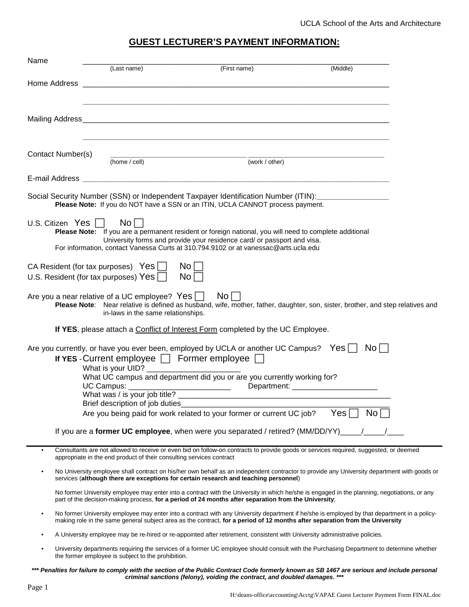## **GUEST LECTURER'S PAYMENT INFORMATION:**

| Name |                                                                                                                                                                                                |                                                                      |                                                                                                                                                                                       |                                                                                                                                              |  |
|------|------------------------------------------------------------------------------------------------------------------------------------------------------------------------------------------------|----------------------------------------------------------------------|---------------------------------------------------------------------------------------------------------------------------------------------------------------------------------------|----------------------------------------------------------------------------------------------------------------------------------------------|--|
|      |                                                                                                                                                                                                | (Last name)                                                          | (First name)                                                                                                                                                                          | (Middle)                                                                                                                                     |  |
|      |                                                                                                                                                                                                |                                                                      |                                                                                                                                                                                       |                                                                                                                                              |  |
|      |                                                                                                                                                                                                |                                                                      |                                                                                                                                                                                       |                                                                                                                                              |  |
|      |                                                                                                                                                                                                |                                                                      |                                                                                                                                                                                       |                                                                                                                                              |  |
|      |                                                                                                                                                                                                |                                                                      |                                                                                                                                                                                       |                                                                                                                                              |  |
|      | Contact Number(s)                                                                                                                                                                              |                                                                      |                                                                                                                                                                                       |                                                                                                                                              |  |
|      |                                                                                                                                                                                                | (home / cell)                                                        | (work / other)                                                                                                                                                                        |                                                                                                                                              |  |
|      |                                                                                                                                                                                                |                                                                      |                                                                                                                                                                                       |                                                                                                                                              |  |
|      |                                                                                                                                                                                                |                                                                      | Social Security Number (SSN) or Independent Taxpayer Identification Number (ITIN): ________________<br>Please Note: If you do NOT have a SSN or an ITIN, UCLA CANNOT process payment. |                                                                                                                                              |  |
|      | U.S. Citizen Yes $\Box$                                                                                                                                                                        | $\mathsf{No} \Box$                                                   |                                                                                                                                                                                       |                                                                                                                                              |  |
|      |                                                                                                                                                                                                |                                                                      | Please Note: If you are a permanent resident or foreign national, you will need to complete additional<br>University forms and provide your residence card/ or passport and visa.     |                                                                                                                                              |  |
|      |                                                                                                                                                                                                |                                                                      | For information, contact Vanessa Curts at 310.794.9102 or at vanessac@arts.ucla.edu                                                                                                   |                                                                                                                                              |  |
|      |                                                                                                                                                                                                | CA Resident (for tax purposes) $Yes \Box$                            | No                                                                                                                                                                                    |                                                                                                                                              |  |
|      |                                                                                                                                                                                                | U.S. Resident (for tax purposes) Yes $\Box$                          | No <sub>1</sub>                                                                                                                                                                       |                                                                                                                                              |  |
|      | Are you a near relative of a UC employee? $Yes \Box$<br>No l<br>Please Note: Near relative is defined as husband, wife, mother, father, daughter, son, sister, brother, and step relatives and |                                                                      |                                                                                                                                                                                       |                                                                                                                                              |  |
|      |                                                                                                                                                                                                | in-laws in the same relationships.                                   |                                                                                                                                                                                       |                                                                                                                                              |  |
|      |                                                                                                                                                                                                |                                                                      | If YES, please attach a Conflict of Interest Form completed by the UC Employee.                                                                                                       |                                                                                                                                              |  |
|      |                                                                                                                                                                                                |                                                                      | Are you currently, or have you ever been, employed by UCLA or another UC Campus? Yes   No                                                                                             |                                                                                                                                              |  |
|      |                                                                                                                                                                                                |                                                                      | If YES - Current employee $\Box$ Former employee $\Box$                                                                                                                               |                                                                                                                                              |  |
|      |                                                                                                                                                                                                |                                                                      |                                                                                                                                                                                       |                                                                                                                                              |  |
|      |                                                                                                                                                                                                |                                                                      | UC Campus: _______________________________                                                                                                                                            |                                                                                                                                              |  |
|      |                                                                                                                                                                                                | Brief description of job duties                                      | What was / is your job title?                                                                                                                                                         |                                                                                                                                              |  |
|      |                                                                                                                                                                                                |                                                                      | Are you being paid for work related to your former or current UC job?                                                                                                                 | Yes<br>No                                                                                                                                    |  |
|      |                                                                                                                                                                                                |                                                                      | If you are a former UC employee, when were you separated / retired? (MM/DD/YY)                                                                                                        |                                                                                                                                              |  |
| ٠    |                                                                                                                                                                                                | appropriate in the end product of their consulting services contract | Consultants are not allowed to receive or even bid on follow-on contracts to provide goods or services required, suggested, or deemed                                                 |                                                                                                                                              |  |
|      |                                                                                                                                                                                                |                                                                      | services (although there are exceptions for certain research and teaching personnel)                                                                                                  | No University employee shall contract on his/her own behalf as an independent contractor to provide any University department with goods or  |  |
|      |                                                                                                                                                                                                |                                                                      | part of the decision-making process, for a period of 24 months after separation from the University;                                                                                  | No former University employee may enter into a contract with the University in which he/she is engaged in the planning, negotiations, or any |  |
|      |                                                                                                                                                                                                |                                                                      | making role in the same general subject area as the contract, for a period of 12 months after separation from the University                                                          | No former University employee may enter into a contract with any University department if he/she is employed by that department in a policy- |  |
|      |                                                                                                                                                                                                |                                                                      | A University employee may be re-hired or re-appointed after retirement, consistent with University administrative policies.                                                           |                                                                                                                                              |  |
|      |                                                                                                                                                                                                | the former employee is subject to the prohibition.                   |                                                                                                                                                                                       | University departments requiring the services of a former UC employee should consult with the Purchasing Department to determine whether     |  |
|      |                                                                                                                                                                                                |                                                                      |                                                                                                                                                                                       |                                                                                                                                              |  |

**\*\*\* Penalties for failure to comply with the section of the Public Contract Code formerly known as SB 1467 are serious and include personal criminal sanctions (felony), voiding the contract, and doubled damages. \*\*\***